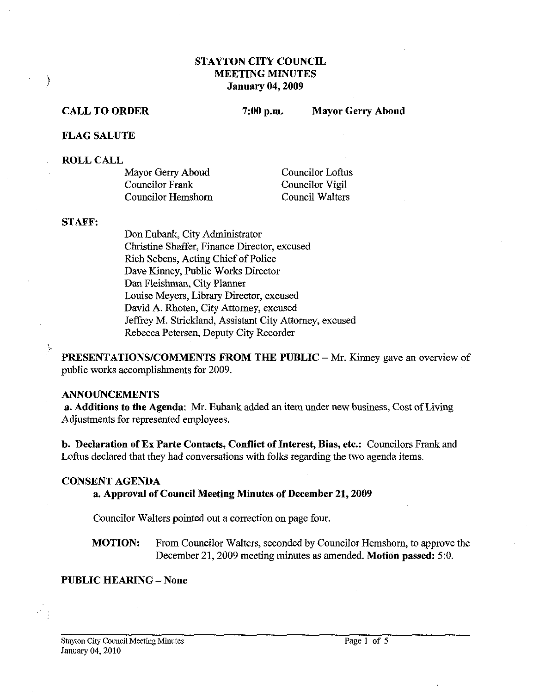# STAYTON CITY COUNCIL MEETING MINUTES January 04,2009

#### CALL TO ORDER

7:00 p.m. Mayor Gerry Aboud

#### FLAG SALUTE

#### ROLL CALL

 $\big)$ 

| Mayor Gerry Aboud  | <b>Councilor Loftus</b> |
|--------------------|-------------------------|
| Councilor Frank    | Councilor Vigil         |
| Councilor Hemshorn | Council Walters         |

#### STAFF:

Don Eubank, City Administrator Christine Shaffer, Finance Director, excused Rich Sebens, Acting Chief of Police Dave Kinney, Public Works Director **Dan** Fleishman, City Planner Louise Meyers, Library Director, excused David A. Rhoten, City Attorney, excused Jeffrey M. Strickland, Assistant City Attorney, excused Rebecca Petersen, Deputy City Recorder

PRESENTATIONS/COMMENTS FROM THE PUBLIC - Mr. Kinney gave an overview of public works accomplishments for 2009.

### ANNOUNCEMENTS

a. Additions to the Agenda: Mr. Eubank added an item under new business, Cost of Living Adjustments for represented employees.

b. Declaration of Ex Parte Contacts, Conflict of Interest, Bias, etc.: Councilors Frank and Loftus declared that they had conversations with folks regarding the two agenda items.

#### CONSENT AGENDA

### a. Approval of Council Meeting Minutes of December 21,2009

Councilor Walters pointed out a correction on page four.

MOTION: From Councilor Walters, seconded by Councilor Hemshorn, to approve the December 21,2009 meeting minutes as amended. Motion passed: 5:O.

### PUBLIC HEARING - None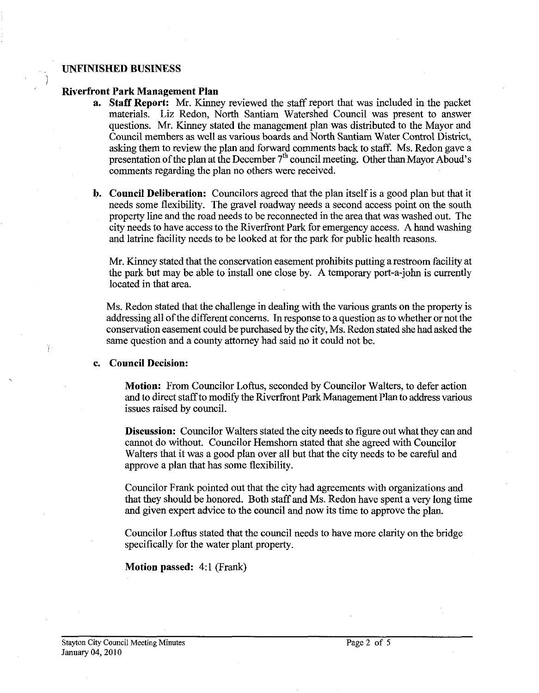#### **UNFINISHED BUSINESS**

)

Ŷ.

#### **Riverfront Park Management Plan**

- **a. Staff Report: Mr.** Kinney reviewed the staff report that was included in the packet materials. Liz Redon, North Santiam Watershed Council was present to answer questions. Mr. Kinney stated the management plan was distributed to the Mayor and Council members as well as various boards and North Santiam Water Control District, asking them to review the plan and forward comments back to staff. Ms. Redon gave a presentation of the plan at the December  $7<sup>th</sup>$  council meeting. Other than Mayor Aboud's comments regarding the plan no others were received.
- **b. Council Deliberation:** Councilors agreed that the plan itself is a good plan but that it needs some flexibility. The gravel roadway needs a second access point on the south property line and the road needs to be reconnected in the area that was washed out. The city needs to have access to the Riverfront Park for emergency access. A hand washing and latrine facility needs to be looked at for the park for public health reasons.

Mr. Kinney stated that the conservation easement prohibits putting a restroom facility at the park but may be able to install one close by. A temporary port-a-john is currently located in that area.

Ms. Redon stated that the challenge in dealing with the various grants on the property is addressing all of the different concerns. In response to a question as to whether or not the conservation easement could be purchased by the city, Ms. Redon stated she had asked the same question and a county attorney had said no it could not be.

### **c. Council Decision:**

**Motion:** From Councilor Loftus, seconded by Councilor Walters, to defer action and to direct staff to modify the Riverfront Park Management Plan to address various issues raised by council.

**Discussion:** Councilor Walters stated the city needs to figure out what they can and cannot do without. Councilor Hemshorn stated that she agreed with Councilor Walters that it was a good plan over all but that the city needs to be careful and approve a plan that has some flexibility.

Councilor Frank pointed out that the city had agreements with organizations and that they should be honored. Both staff and Ms. Redon have spent a very long time and given expert advice to the council and now its time to approve the plan.

Councilor Loftus stated that the council needs to have more clarity on the bridge specifically for the water plant property.

**Motion passed: 4:1 (Frank)**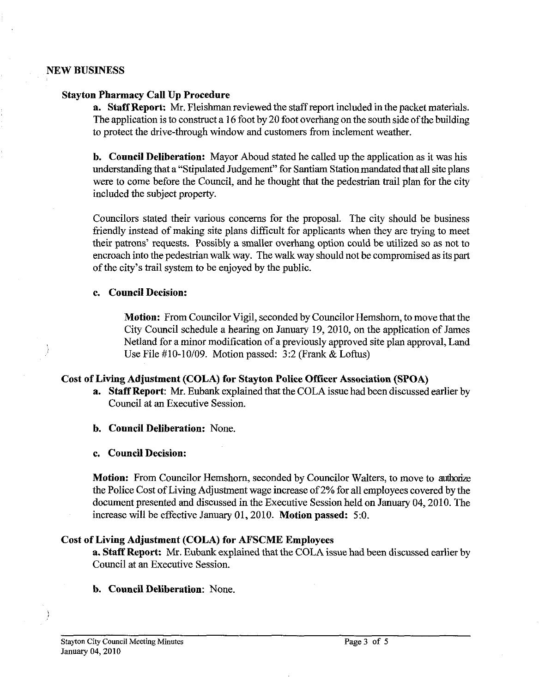## **NEW BUSINESS**

## **Stayton Pharmacy Call Up Procedure**

**a. Staff Report: Mr.** Fleishman reviewed the staffreport included in the packet materials. The application is to construct a **16** foot by **20** foot overhang on the south side of the building to protect the drive-through window and customers from inclement weather.

**b. Council Deliberation:** Mayor Aboud stated he called up the application as it was his understanding that a "Stipulated Judgement" for Santiam Station mandated that all site plans were to come before the Council, and he thought that the pedestrian trail plan for the city included the subject property.

Councilors stated their various concerns for the proposal. The city should be business friendly instead of making site plans difficult for applicants when they are trying to meet their patrons' requests. Possibly a smaller overhang option could be utilized so as not to encroach into the pedestrian wak way. The walk way should not be compromised as its part of the city's trail system to be enjoyed by the public.

# **c. Council Decision:**

**Motion:** From Councilor Vigil, seconded by Councilor Hemshorn, to move that the City Council schedule a hearing on January **19,2010,** on the application of James Netland for a minor modification of a previously approved site plan approval, Land Use File **#lo-1 0109.** Motion passed: **3:2** (Frank & Loftus)

# **Cost of Living Adjustment (COLA) for Stayton Police Officer Association (SPOA)**

- **a.** Staff Report: Mr. Eubank explained that the COLA issue had been discussed earlier by Council at an Executive Session.
- **b. Council Deliberation:** None.
- **c. Council Decision:**

**Motion:** From Councilor Hemshorn, seconded by Councilor Walters, to move to authorize the Police Cost of Living Adjustment wage increase of 2% for all employees covered by the document presented and discussed in the Executive Session held on January **04,2010.** The increase will be effective January **01,2010. Motion passed: 5:O.** 

# **Cost of Living Adjustment (COLA) for AFSCME Employees**

**a. Staff Report:** Mr. Eubank explained that the COLA issue had been discussed earlier by Council at an Executive Session.

# **b. Council Deliberation:** None.